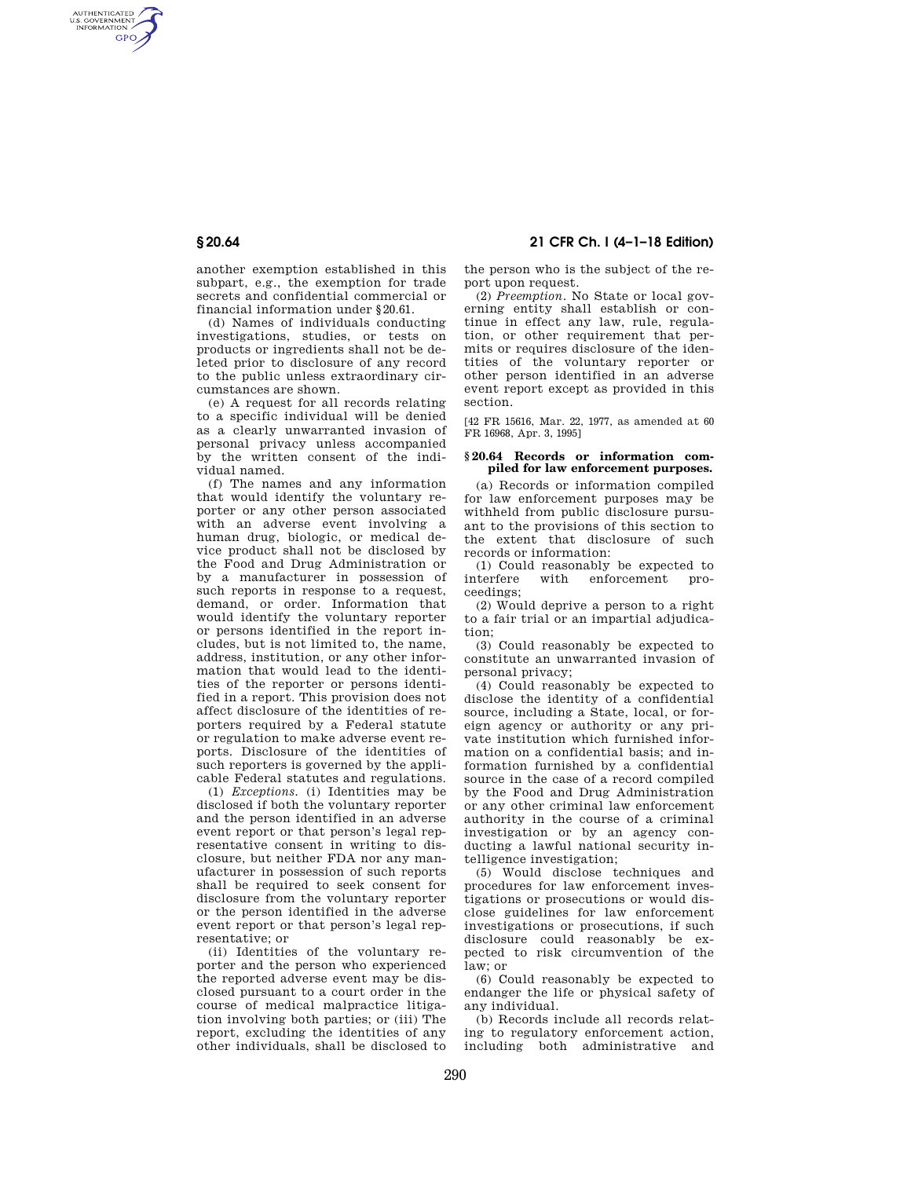AUTHENTICATED<br>U.S. GOVERNMENT<br>INFORMATION **GPO** 

> another exemption established in this subpart, e.g., the exemption for trade secrets and confidential commercial or financial information under §20.61.

(d) Names of individuals conducting investigations, studies, or tests on products or ingredients shall not be deleted prior to disclosure of any record to the public unless extraordinary circumstances are shown.

(e) A request for all records relating to a specific individual will be denied as a clearly unwarranted invasion of personal privacy unless accompanied by the written consent of the individual named.

(f) The names and any information that would identify the voluntary reporter or any other person associated with an adverse event involving a human drug, biologic, or medical device product shall not be disclosed by the Food and Drug Administration or by a manufacturer in possession of such reports in response to a request, demand, or order. Information that would identify the voluntary reporter or persons identified in the report includes, but is not limited to, the name, address, institution, or any other information that would lead to the identities of the reporter or persons identified in a report. This provision does not affect disclosure of the identities of reporters required by a Federal statute or regulation to make adverse event reports. Disclosure of the identities of such reporters is governed by the applicable Federal statutes and regulations.

(1) *Exceptions.* (i) Identities may be disclosed if both the voluntary reporter and the person identified in an adverse event report or that person's legal representative consent in writing to disclosure, but neither FDA nor any manufacturer in possession of such reports shall be required to seek consent for disclosure from the voluntary reporter or the person identified in the adverse event report or that person's legal representative; or

(ii) Identities of the voluntary reporter and the person who experienced the reported adverse event may be disclosed pursuant to a court order in the course of medical malpractice litigation involving both parties; or (iii) The report, excluding the identities of any other individuals, shall be disclosed to

**§ 20.64 21 CFR Ch. I (4–1–18 Edition)** 

the person who is the subject of the report upon request.

(2) *Preemption.* No State or local governing entity shall establish or continue in effect any law, rule, regulation, or other requirement that permits or requires disclosure of the identities of the voluntary reporter or other person identified in an adverse event report except as provided in this section.

[42 FR 15616, Mar. 22, 1977, as amended at 60 FR 16968, Apr. 3, 1995]

### **§ 20.64 Records or information compiled for law enforcement purposes.**

(a) Records or information compiled for law enforcement purposes may be withheld from public disclosure pursuant to the provisions of this section to the extent that disclosure of such records or information:

(1) Could reasonably be expected to interfere with enforcement proceedings;

(2) Would deprive a person to a right to a fair trial or an impartial adjudication;

(3) Could reasonably be expected to constitute an unwarranted invasion of personal privacy;

(4) Could reasonably be expected to disclose the identity of a confidential source, including a State, local, or foreign agency or authority or any private institution which furnished information on a confidential basis; and information furnished by a confidential source in the case of a record compiled by the Food and Drug Administration or any other criminal law enforcement authority in the course of a criminal investigation or by an agency conducting a lawful national security intelligence investigation;

(5) Would disclose techniques and procedures for law enforcement investigations or prosecutions or would disclose guidelines for law enforcement investigations or prosecutions, if such disclosure could reasonably be expected to risk circumvention of the law; or

(6) Could reasonably be expected to endanger the life or physical safety of any individual.

(b) Records include all records relating to regulatory enforcement action, including both administrative and